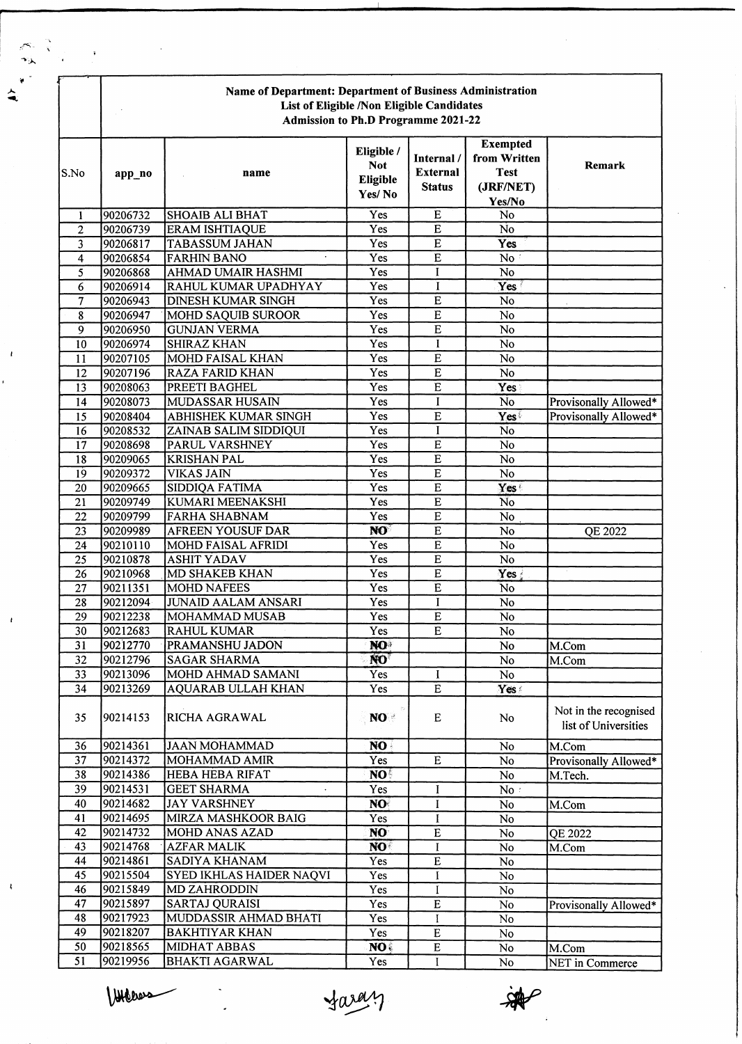|                         | Name of Department: Department of Business Administration<br>List of Eligible /Non Eligible Candidates<br><b>Admission to Ph.D Programme 2021-22</b> |                                                |                                                |                                                |                                                                       |                                               |
|-------------------------|------------------------------------------------------------------------------------------------------------------------------------------------------|------------------------------------------------|------------------------------------------------|------------------------------------------------|-----------------------------------------------------------------------|-----------------------------------------------|
| S.No                    | app_no                                                                                                                                               | name                                           | Eligible /<br><b>Not</b><br>Eligible<br>Yes/No | Internal /<br><b>External</b><br><b>Status</b> | <b>Exempted</b><br>from Written<br><b>Test</b><br>(JRF/NET)<br>Yes/No | Remark                                        |
| 1                       | 90206732                                                                                                                                             | <b>SHOAIB ALI BHAT</b>                         | Yes                                            | $\overline{E}$                                 | $\overline{No}$                                                       |                                               |
| $\overline{2}$          | 90206739                                                                                                                                             | <b>ERAM ISHTIAQUE</b>                          | Yes                                            | E                                              | No                                                                    |                                               |
| 3                       | 90206817                                                                                                                                             | <b>TABASSUM JAHAN</b>                          | Yes                                            | E                                              | Yes                                                                   |                                               |
| $\overline{\mathbf{4}}$ | 90206854                                                                                                                                             | <b>FARHIN BANO</b>                             | Yes                                            | $\overline{E}$                                 | No:                                                                   |                                               |
| 5                       | 90206868                                                                                                                                             | <b>AHMAD UMAIR HASHMI</b>                      | Yes                                            | I                                              | No                                                                    |                                               |
| 6                       | 90206914                                                                                                                                             | RAHUL KUMAR UPADHYAY                           | Yes                                            | I                                              | Yes                                                                   |                                               |
| 7                       | 90206943                                                                                                                                             | <b>DINESH KUMAR SINGH</b>                      | Yes                                            | $\overline{E}$                                 | N <sub>o</sub>                                                        |                                               |
| 8                       | 90206947                                                                                                                                             | <b>MOHD SAQUIB SUROOR</b>                      | Yes                                            | $\overline{E}$                                 | N <sub>o</sub>                                                        |                                               |
| $\overline{9}$          | 90206950                                                                                                                                             | <b>GUNJAN VERMA</b>                            | Yes                                            | $\overline{E}$                                 | No                                                                    |                                               |
| $\overline{10}$         | 90206974                                                                                                                                             | <b>SHIRAZ KHAN</b>                             | Yes                                            | I                                              | No                                                                    |                                               |
| 11                      | 90207105                                                                                                                                             | <b>MOHD FAISAL KHAN</b>                        | Yes                                            | $\overline{E}$                                 | $\overline{No}$                                                       |                                               |
| 12                      | 90207196                                                                                                                                             | <b>RAZA FARID KHAN</b>                         | Yes                                            | $\overline{E}$                                 | $\overline{No}$                                                       |                                               |
| 13                      | 90208063                                                                                                                                             | PREETI BAGHEL                                  | Yes                                            | $\overline{E}$                                 | Yes                                                                   |                                               |
| 14                      | 90208073                                                                                                                                             | <b>MUDASSAR HUSAIN</b>                         | Yes                                            | $\mathbf I$                                    | No                                                                    | Provisonally Allowed*                         |
| 15                      | 90208404                                                                                                                                             | ABHISHEK KUMAR SINGH                           | Yes<br>Yes                                     | $\overline{E}$<br>I                            | Yes                                                                   | Provisonally Allowed*                         |
| 16<br>17                | 90208532<br>90208698                                                                                                                                 | ZAINAB SALIM SIDDIQUI<br><b>PARUL VARSHNEY</b> | Yes                                            | $\overline{E}$                                 | N <sub>o</sub><br>$\overline{N}$                                      |                                               |
| 18                      | 90209065                                                                                                                                             | <b>KRISHAN PAL</b>                             | Yes                                            | $\overline{E}$                                 | $\overline{N}$                                                        |                                               |
| 19                      | 90209372                                                                                                                                             | <b>VIKAS JAIN</b>                              | Yes                                            | E                                              | No                                                                    |                                               |
| 20                      | 90209665                                                                                                                                             | <b>SIDDIQA FATIMA</b>                          | Yes                                            | $\overline{E}$                                 | Yes <sup>(</sup>                                                      |                                               |
| $\overline{21}$         | 90209749                                                                                                                                             | KUMARI MEENAKSHI                               | Yes                                            | $\overline{E}$                                 | $\overline{N}$                                                        |                                               |
| 22                      | 90209799                                                                                                                                             | <b>FARHA SHABNAM</b>                           | Yes                                            | $\overline{E}$                                 | N <sub>o</sub>                                                        |                                               |
| 23                      | 90209989                                                                                                                                             | <b>AFREEN YOUSUF DAR</b>                       | NO <sup>1</sup>                                | $\overline{E}$                                 | No                                                                    | QE 2022                                       |
| 24                      | 90210110                                                                                                                                             | <b>MOHD FAISAL AFRIDI</b>                      | Yes                                            | $\overline{E}$                                 | No                                                                    |                                               |
| 25                      | 90210878                                                                                                                                             | <b>ASHIT YADAV</b>                             | Yes                                            | $\overline{E}$                                 | No                                                                    |                                               |
| 26                      | 90210968                                                                                                                                             | MD SHAKEB KHAN                                 | Yes                                            | $\overline{E}$                                 | Yes {                                                                 |                                               |
| 27                      | 90211351                                                                                                                                             | <b>MOHD NAFEES</b>                             | Yes                                            | $\overline{E}$                                 | N <sub>o</sub>                                                        |                                               |
| 28                      | 90212094                                                                                                                                             | <b>JUNAID AALAM ANSARI</b>                     | Yes                                            | I                                              | No                                                                    |                                               |
| 29                      | 90212238                                                                                                                                             | MOHAMMAD MUSAB                                 | Yes                                            | $\overline{E}$                                 | No                                                                    |                                               |
| 30                      | 90212683                                                                                                                                             | <b>RAHUL KUMAR</b>                             | Yes                                            | ${\bf E}$                                      | No                                                                    |                                               |
| 31                      | 90212770                                                                                                                                             | PRAMANSHU JADON                                | NO <sup>3</sup>                                |                                                | No                                                                    | M.Com                                         |
| 32                      | 90212796                                                                                                                                             | <b>SAGAR SHARMA</b>                            | NO <sup>T</sup>                                |                                                | No                                                                    | M.Com                                         |
| $\overline{33}$         | 90213096                                                                                                                                             | MOHD AHMAD SAMANI                              | <b>Yes</b>                                     | I                                              | $\overline{No}$                                                       |                                               |
| 34                      | 90213269                                                                                                                                             | <b>AQUARAB ULLAH KHAN</b>                      | Yes                                            | $\overline{E}$                                 | Yes!                                                                  |                                               |
| 35                      | 90214153                                                                                                                                             | RICHA AGRAWAL                                  | NO :                                           | E                                              | No                                                                    | Not in the recognised<br>list of Universities |
| 36                      | 90214361                                                                                                                                             | <b>JAAN MOHAMMAD</b>                           | NO.                                            |                                                | No                                                                    | M.Com                                         |
| 37                      | 90214372                                                                                                                                             | MOHAMMAD AMIR                                  | Yes                                            | $\mathbf E$                                    | $\rm No$                                                              | Provisonally Allowed*                         |
| 38                      | 90214386                                                                                                                                             | <b>HEBA HEBA RIFAT</b>                         | NO <sup>5</sup>                                |                                                | No                                                                    | M.Tech.                                       |
| 39                      | 90214531                                                                                                                                             | <b>GEET SHARMA</b>                             | Yes                                            | I                                              | No:                                                                   |                                               |
| 40                      | 90214682                                                                                                                                             | <b>JAY VARSHNEY</b>                            | NO.                                            | 1                                              | No                                                                    | M.Com                                         |
| 41                      | 90214695                                                                                                                                             | MIRZA MASHKOOR BAIG                            | Yes                                            | I                                              | No                                                                    |                                               |
| 42                      | 90214732                                                                                                                                             | <b>MOHD ANAS AZAD</b>                          | <b>NO</b>                                      | $\overline{\text{E}}$                          | No                                                                    | QE 2022                                       |
| 43                      | 90214768                                                                                                                                             | <b>AZFAR MALIK</b>                             | NO <sup>.</sup>                                | I                                              | No                                                                    | M.Com                                         |
| 44                      | 90214861                                                                                                                                             | SADIYA KHANAM                                  | Yes                                            | $\overline{E}$                                 | No                                                                    |                                               |
| 45                      | 90215504                                                                                                                                             | SYED IKHLAS HAIDER NAQVI                       | Yes                                            | I                                              | $\overline{No}$                                                       |                                               |
| 46                      | 90215849                                                                                                                                             | <b>MD ZAHRODDIN</b>                            | Yes                                            | $\mathbf I$                                    | $\rm No$                                                              |                                               |
| 47                      | 90215897                                                                                                                                             | <b>SARTAJ QURAISI</b>                          | Yes                                            | $\mathbf E$                                    | No                                                                    | Provisonally Allowed*                         |
| 48                      | 90217923                                                                                                                                             | MUDDASSIR AHMAD BHATI                          | Yes                                            | I                                              | No                                                                    |                                               |
| 49                      | 90218207                                                                                                                                             | <b>BAKHTIYAR KHAN</b>                          | Yes                                            | $\overline{\text{E}}$                          | $\rm No$                                                              |                                               |
| 50                      | 90218565                                                                                                                                             | <b>MIDHAT ABBAS</b>                            | NO.                                            | ${\bf E}$                                      | No                                                                    | M.Com                                         |
| 51                      | 90219956                                                                                                                                             | <b>BHAKTI AGARWAL</b>                          | Yes                                            | I                                              | No                                                                    | <b>NET</b> in Commerce                        |

VIACONS

 $\ddot{\phantom{1}}$ 

 $\overline{1}$ 

 $\mathbf{I}$ 

 $\mathbf{I}$ 

faray

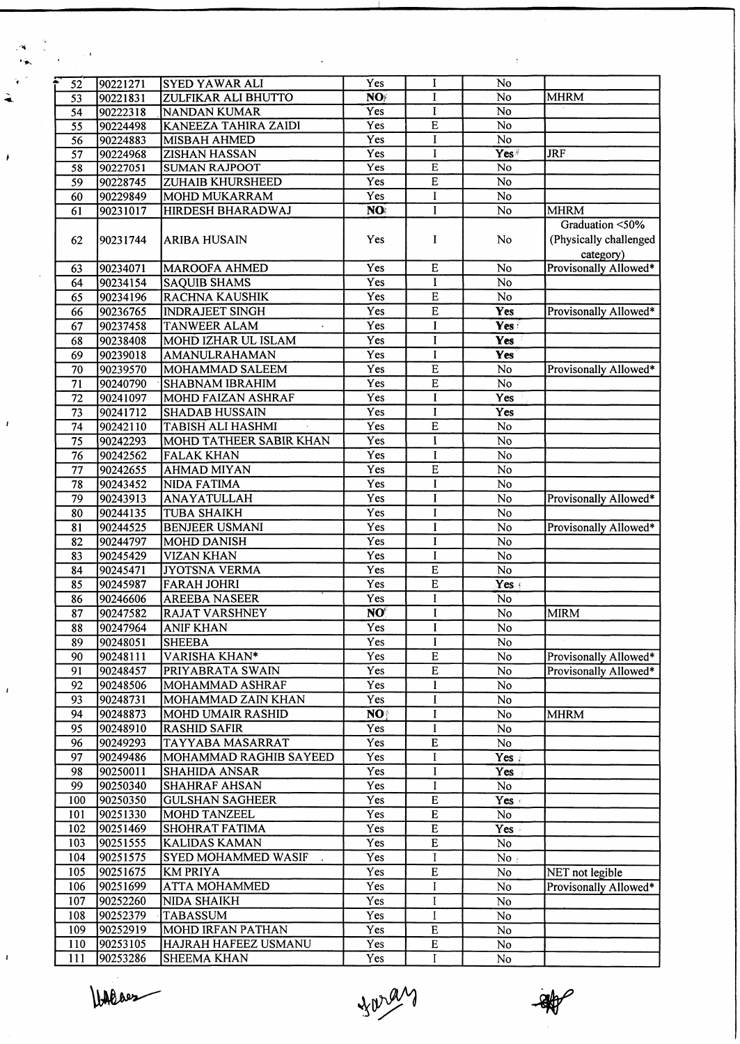| $\sim$ 1        |                      |                                                     |                        |                         | ÷                |                                                        |
|-----------------|----------------------|-----------------------------------------------------|------------------------|-------------------------|------------------|--------------------------------------------------------|
|                 |                      |                                                     | Yes                    | $\mathbf{I}$            | No               |                                                        |
| 52              | 90221271<br>90221831 | <b>SYED YAWAR ALI</b><br><b>ZULFIKAR ALI BHUTTO</b> | $\overline{\text{NO}}$ | $\mathbf{I}$            | No               | <b>MHRM</b>                                            |
| 53<br>54        | 90222318             | <b>NANDAN KUMAR</b>                                 | Yes                    | $\mathbf I$             | No               |                                                        |
| $\overline{55}$ | 90224498             | <b>KANEEZA TAHIRA ZAIDI</b>                         | Yes                    | $\overline{E}$          | No               |                                                        |
| $\overline{56}$ | 90224883             | <b>MISBAH AHMED</b>                                 | Yes                    | I                       | No               |                                                        |
| 57              | 90224968             | <b>ZISHAN HASSAN</b>                                | Yes                    | I                       | Yes <sup>#</sup> | <b>JRF</b>                                             |
| 58              | 90227051             | <b>SUMAN RAJPOOT</b>                                | $\overline{Yes}$       | $\overline{E}$          | No               |                                                        |
| $\overline{59}$ | 90228745             | ZUHAIB KHURSHEED                                    | Yes                    | E                       | $\overline{No}$  |                                                        |
| 60              | 90229849             | MOHD MUKARRAM                                       | Yes                    | I                       | No               |                                                        |
| 61              | 90231017             | <b>HIRDESH BHARADWAJ</b>                            | NO.                    | I                       | $\overline{No}$  | <b>MHRM</b>                                            |
| 62              | 90231744             | <b>ARIBA HUSAIN</b>                                 | Yes                    | I                       | No               | Graduation <50%<br>(Physically challenged<br>category) |
| 63              | 90234071             | <b>MAROOFA AHMED</b>                                | Yes                    | $\overline{E}$          | No               | Provisonally Allowed*                                  |
| 64              | 90234154             | <b>SAQUIB SHAMS</b>                                 | Yes                    | $\bf{I}$                | No               |                                                        |
| 65              | 90234196             | <b>RACHNA KAUSHIK</b>                               | Yes                    | $\overline{E}$          | No               |                                                        |
| 66              | 90236765             | <b>INDRAJEET SINGH</b>                              | Yes                    | $\bf E$                 | Yes              | Provisonally Allowed*                                  |
| 67              | 90237458             | <b>TANWEER ALAM</b><br>$\ddot{\phantom{0}}$         | Yes                    | I                       | Yes :            |                                                        |
| 68              | 90238408             | MOHD IZHAR UL ISLAM                                 | Yes                    | I                       | Yes              |                                                        |
| 69              | 90239018             | AMANULRAHAMAN                                       | Yes                    | $\bf{I}$                | Yes              |                                                        |
| 70              | 90239570             | MOHAMMAD SALEEM                                     | Yes                    | $\overline{E}$          | $\overline{No}$  | Provisonally Allowed*                                  |
| 71              | 90240790             | <b>SHABNAM IBRAHIM</b>                              | Yes                    | $\overline{E}$          | No               |                                                        |
| 72              | 90241097             | <b>MOHD FAIZAN ASHRAF</b>                           | Yes                    | $\mathbf I$             | Yes              |                                                        |
| $\overline{73}$ | 90241712             | <b>SHADAB HUSSAIN</b>                               | $\overline{Yes}$       | I                       | Yes              |                                                        |
| 74              | 90242110             | <b>TABISH ALI HASHMI</b>                            | Yes                    | E                       | $\overline{No}$  |                                                        |
| $\overline{75}$ | 90242293             | MOHD TATHEER SABIR KHAN                             | Yes                    | $\overline{I}$          | $\overline{No}$  |                                                        |
| $\overline{76}$ | 90242562             | <b>FALAK KHAN</b>                                   | Yes                    | $\bf{I}$                | No               |                                                        |
| 77              | 90242655             | <b>AHMAD MIYAN</b>                                  | Yes                    | $\overline{E}$          | $\overline{No}$  |                                                        |
| 78              | 90243452             | <b>NIDA FATIMA</b>                                  | Yes                    | I                       | No               |                                                        |
| 79              | 90243913             | <b>ANAYATULLAH</b>                                  | Yes                    | I                       | No               | Provisonally Allowed*                                  |
| 80              | 90244135             | <b>TUBA SHAIKH</b>                                  | Yes                    | I                       | $\overline{No}$  |                                                        |
| 81              | 90244525             | <b>BENJEER USMANI</b>                               | Yes                    | $\mathbf I$             | $\overline{N}$   | Provisonally Allowed*                                  |
| 82              | 90244797             | <b>MOHD DANISH</b>                                  | Yes                    | $\mathbf I$             | No               |                                                        |
| 83              | 90245429             | <b>VIZAN KHAN</b>                                   | Yes                    | $\bf{I}$                | $\overline{No}$  |                                                        |
| 84              | 90245471             | <b>JYOTSNA VERMA</b>                                | Yes                    | $\mathbf E$             | No               |                                                        |
| 85              | 90245987             | <b>FARAH JOHRI</b>                                  | Yes                    | $\overline{E}$          | Yes <sub>1</sub> |                                                        |
| 86              | 90246606             | <b>AREEBA NASEER</b>                                | Yes                    | I                       | <b>No</b>        |                                                        |
| 87              | 90247582             | <b>RAJAT VARSHNEY</b>                               | NO                     | I                       | No               | <b>MIRM</b>                                            |
| 88              | 90247964             | <b>ANIF KHAN</b>                                    | Yes                    | I                       | $\overline{No}$  |                                                        |
| 89              | 90248051             | <b>SHEEBA</b>                                       | Yes                    | $\bf{I}$                | No               |                                                        |
| 90              | 90248111             | VARISHA KHAN*                                       | Yes                    | E                       | No               | Provisonally Allowed*                                  |
| 91              | 90248457             | PRIYABRATA SWAIN                                    | Yes                    | $\mathbf E$             | No               | Provisonally Allowed*                                  |
| 92              | 90248506             | MOHAMMAD ASHRAF                                     | Yes                    | $\bf{I}$                | No               |                                                        |
| 93              | 90248731             | MOHAMMAD ZAIN KHAN<br><b>MOHD UMAIR RASHID</b>      | Yes                    | $\mathbf I$             | No               |                                                        |
| 94              | 90248873             | <b>RASHID SAFIR</b>                                 | NO                     | $\mathbf I$             | No               | <b>MHRM</b>                                            |
| 95              | 90248910             |                                                     | Yes                    | $\mathbf I$             | No               |                                                        |
| 96              | 90249293             | TAYYABA MASARRAT<br>MOHAMMAD RAGHIB SAYEED          | Yes<br>Yes             | $\overline{E}$<br>I     | No               |                                                        |
| 97<br>98        | 90249486<br>90250011 | <b>SHAHIDA ANSAR</b>                                | Yes                    | I                       | Yes:<br>Yes      |                                                        |
| 99              | 90250340             | <b>SHAHRAF AHSAN</b>                                | Yes                    | Ι                       | N <sub>o</sub>   |                                                        |
| 100             | 90250350             | <b>GULSHAN SAGHEER</b>                              | Yes                    | $\mathbf E$             | Yes .            |                                                        |
| 101             | 90251330             | MOHD TANZEEL                                        | Yes                    | ${\bf E}$               | No               |                                                        |
| 102             | 90251469             | SHOHRAT FATIMA                                      | Yes                    | $\overline{E}$          | Yes &            |                                                        |
| 103             | 90251555             | <b>KALIDAS KAMAN</b>                                | Yes                    | $\overline{E}$          | <b>No</b>        |                                                        |
| 104             | 90251575             | SYED MOHAMMED WASIF                                 | Yes                    | I                       | No.              |                                                        |
| 105             | 90251675             | <b>KM PRIYA</b>                                     | Yes                    | $\overline{E}$          | No               | NET not legible                                        |
| 106             | 90251699             | <b>ATTA MOHAMMED</b>                                | Yes                    | I                       | No               | Provisonally Allowed*                                  |
| 107             | 90252260             | <b>NIDA SHAIKH</b>                                  | Yes                    | I                       | No               |                                                        |
| 108             | 90252379             | <b>TABASSUM</b>                                     | Yes                    | $\mathbf I$             | No               |                                                        |
| 109             | 90252919             | <b>MOHD IRFAN PATHAN</b>                            | Yes                    | $\overline{E}$          | $\overline{No}$  |                                                        |
| 110             | 90253105             | HAJRAH HAFEEZ USMANU                                | Yes                    | $\overline{\textbf{E}}$ | No               |                                                        |
| 111             | 90253286             | <b>SHEEMA KHAN</b>                                  | Yes                    | $\bf{I}$                | No               |                                                        |
|                 |                      |                                                     |                        |                         |                  |                                                        |

Wildes

 $\mathcal{A}$ 

à

 $\lambda$ 

 $\mathbf{r}$ 

 $\frac{1}{2}$ 

 $\bar{t}$ 

faray

 $\frac{1}{\sqrt{2}}$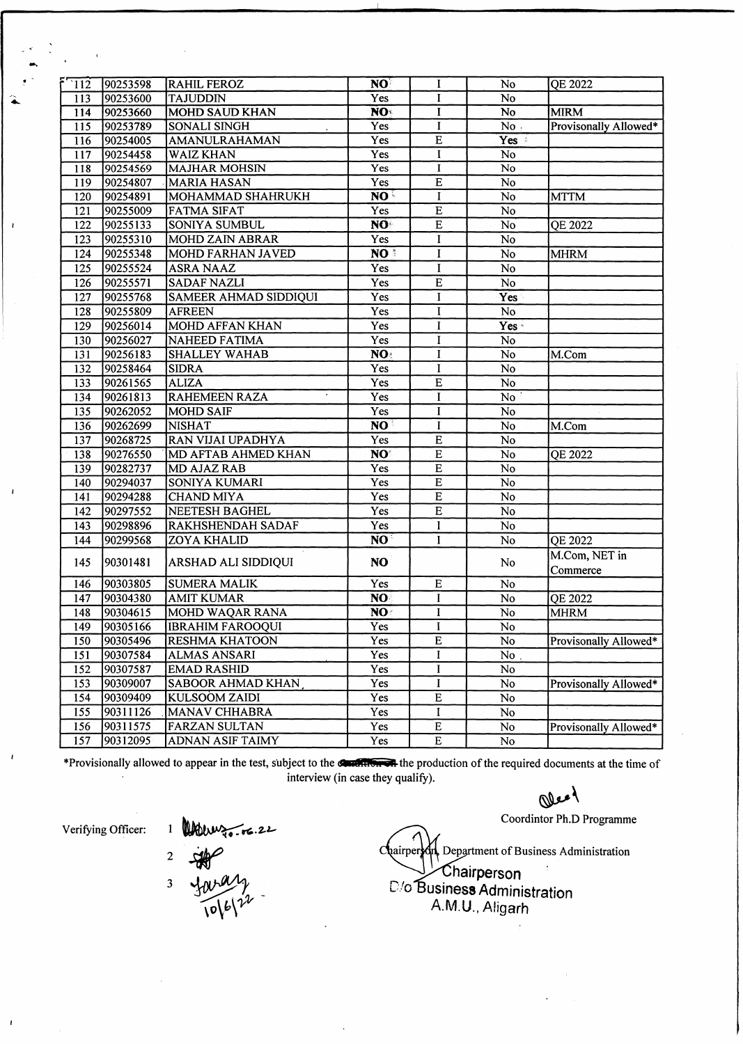| $\overline{112}$ | 90253598 | <b>RAHIL FEROZ</b>       | NO              | I              | No                     | QE 2022               |
|------------------|----------|--------------------------|-----------------|----------------|------------------------|-----------------------|
| 113              | 90253600 | <b>TAJUDDIN</b>          | Yes             | I              | No                     |                       |
| 114              | 90253660 | <b>MOHD SAUD KHAN</b>    | NO <sup>t</sup> | $\mathbf I$    | $\overline{No}$        | <b>MIRM</b>           |
| 115              | 90253789 | <b>SONALI SINGH</b>      | Yes             | $\mathbf{I}$   | No.                    | Provisonally Allowed* |
| 116              | 90254005 | AMANULRAHAMAN            | Yes             | $\overline{E}$ | Yes :                  |                       |
| 117              | 90254458 | <b>WAIZ KHAN</b>         | Yes             | I              | <b>No</b>              |                       |
| 118              | 90254569 | <b>MAJHAR MOHSIN</b>     | Yes             | I              | No                     |                       |
| 119              | 90254807 | <b>MARIA HASAN</b>       | Yes             | $\mathbf E$    | No                     |                       |
| 120              | 90254891 | MOHAMMAD SHAHRUKH        | NO.             | I              | No                     | <b>MTTM</b>           |
| 121              | 90255009 | <b>FATMA SIFAT</b>       | Yes             | ${\bf E}$      | $\rm No$               |                       |
| 122              | 90255133 | <b>SONIYA SUMBUL</b>     | NO              | $\overline{E}$ | No <sup>1</sup>        | <b>QE 2022</b>        |
| 123              | 90255310 | <b>MOHD ZAIN ABRAR</b>   | Yes             | I              | No                     |                       |
| 124              | 90255348 | MOHD FARHAN JAVED        | NO <sup>3</sup> | I              | $\overline{No}$        | <b>MHRM</b>           |
| 125              | 90255524 | <b>ASRA NAAZ</b>         | Yes             | $\mathbf I$    | No                     |                       |
| 126              | 90255571 | <b>SADAF NAZLI</b>       | Yes             | $\overline{E}$ | $\overline{No}$        |                       |
| $\overline{127}$ | 90255768 | SAMEER AHMAD SIDDIQUI    | Yes             | I              | Yes                    |                       |
| 128              | 90255809 | <b>AFREEN</b>            | Yes             | I              | No                     |                       |
| 129              | 90256014 | MOHD AFFAN KHAN          | Yes             | I              | Yes -                  |                       |
| 130              | 90256027 | <b>NAHEED FATIMA</b>     | Yes             | I              | No                     |                       |
| 131              | 90256183 | <b>SHALLEY WAHAB</b>     | NO:             | I              | No                     | M.Com                 |
| 132              | 90258464 | <b>SIDRA</b>             | Yes             | I              | No                     |                       |
| 133              | 90261565 | <b>ALIZA</b>             | Yes             | ${\bf E}$      | $\rm No$               |                       |
| 134              | 90261813 | <b>RAHEMEEN RAZA</b>     | Yes             | I              | No                     |                       |
| 135              | 90262052 | <b>MOHD SAIF</b>         | Yes             | I              | No                     |                       |
| 136              | 90262699 | <b>NISHAT</b>            | NO <sup>3</sup> | I              | No                     | M.Com                 |
| 137              | 90268725 | RAN VIJAI UPADHYA        | Yes             | E              | No                     |                       |
| 138              | 90276550 | MD AFTAB AHMED KHAN      | NO <sup>®</sup> | $\overline{E}$ | No                     | <b>QE 2022</b>        |
| 139              | 90282737 | <b>MD AJAZ RAB</b>       | Yes             | $\overline{E}$ | N <sub>o</sub>         |                       |
| 140              | 90294037 | SONIYA KUMARI            | Yes             | $\overline{E}$ | No                     |                       |
| 141              | 90294288 | <b>CHAND MIYA</b>        | Yes             | $\overline{E}$ | No                     |                       |
| 142              | 90297552 | <b>NEETESH BAGHEL</b>    | Yes             | $\overline{E}$ | No                     |                       |
| 143              | 90298896 | RAKHSHENDAH SADAF        | Yes             | I              | No                     |                       |
| 144              | 90299568 | <b>ZOYA KHALID</b>       | NO <sup>1</sup> | $\mathbf{I}$   | No                     | QE 2022               |
|                  |          |                          |                 |                |                        | M.Com, NET in         |
| 145              | 90301481 | ARSHAD ALI SIDDIQUI      | <b>NO</b>       |                | No                     | Commerce              |
| 146              | 90303805 | <b>SUMERA MALIK</b>      | Yes             | $\overline{E}$ | No                     |                       |
| 147              | 90304380 | <b>AMIT KUMAR</b>        | NO:             | $\mathbf I$    | N <sub>o</sub>         | QE 2022               |
| 148              | 90304615 | MOHD WAQAR RANA          | NO              | 1              | No                     | <b>MHRM</b>           |
| 149              | 90305166 | <b>IBRAHIM FAROOQUI</b>  | Yes             | I              |                        |                       |
|                  |          |                          | Yes             | E              | $\mathbf{N}\mathbf{o}$ | Provisonally Allowed* |
| 150              | 90305496 | <b>RESHMA KHATOON</b>    |                 |                | No                     |                       |
| 151              | 90307584 | ALMAS ANSARI             | Yes             | I              | No                     |                       |
| 152              | 90307587 | <b>EMAD RASHID</b>       | Yes             | $\bf{I}$       | No                     |                       |
| 153              | 90309007 | <b>SABOOR AHMAD KHAN</b> | Yes             | I              | No                     | Provisonally Allowed* |
| 154              | 90309409 | <b>KULSOOM ZAIDI</b>     | Yes             | $\mathbf E$    | No                     |                       |
| 155              | 90311126 | MANAV CHHABRA            | Yes             | I              | No                     |                       |
| 156              | 90311575 | <b>FARZAN SULTAN</b>     | Yes             | $\mathbf E$    | $\rm No$               | Provisonally Allowed* |
| 157              | 90312095 | <b>ADNAN ASIF TAIMY</b>  | Yes             | Е              | $\rm No$               |                       |

\*Provisionally allowed to appear in the test, subject to the **California** the production of the required documents at the time of **interview (in case they qualify).**

*<\$j>\*

**Coordintor Ph.D Programme**

 $\alpha$ **hairper**  $\sum_{k=1}^{N}$  Department of Business Administration

**^i^hairperson O/o Business Administration** A.M.U., Aligarh

**Verifying Officer:**

Mouray<br>FAP<br>Jaray<br>Jole 12  $\overline{\mathbf{c}}$  $\overline{\mathbf{3}}$ 

**M**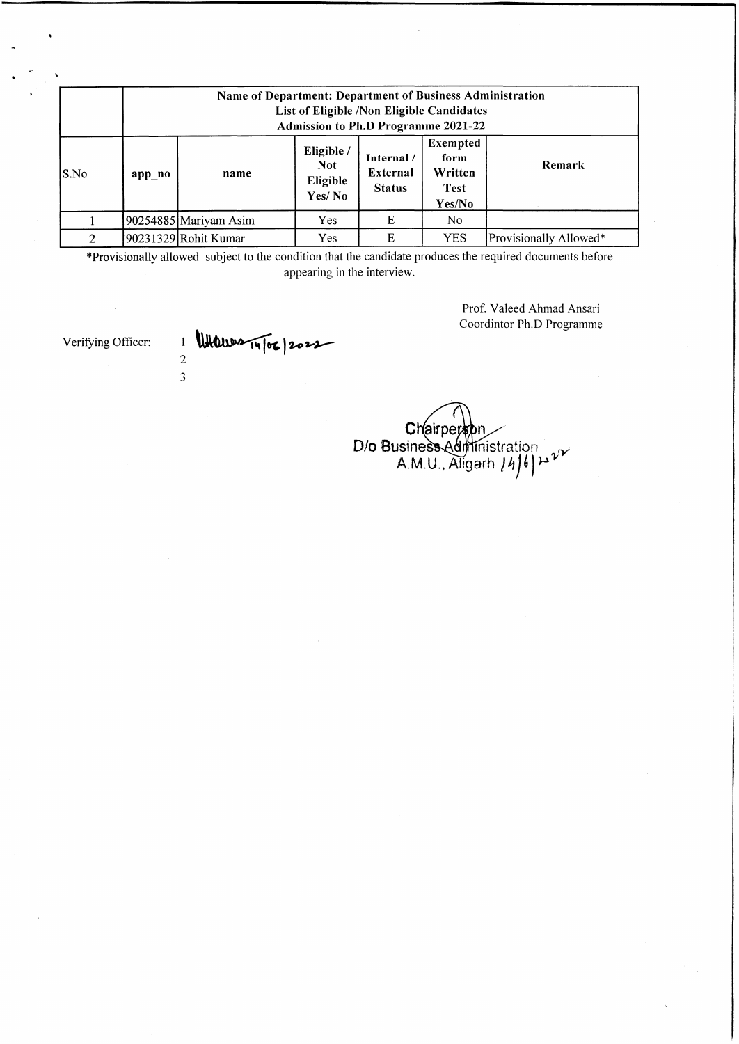|       | Name of Department: Department of Business Administration<br>List of Eligible /Non Eligible Candidates<br>Admission to Ph.D Programme 2021-22 |                       |                                                |                                         |                                                             |                        |  |
|-------|-----------------------------------------------------------------------------------------------------------------------------------------------|-----------------------|------------------------------------------------|-----------------------------------------|-------------------------------------------------------------|------------------------|--|
| lS.No | app no                                                                                                                                        | name                  | Eligible /<br><b>Not</b><br>Eligible<br>Yes/No | Internal /<br>External<br><b>Status</b> | <b>Exempted</b><br>form<br>Written<br><b>Test</b><br>Yes/No | Remark                 |  |
|       |                                                                                                                                               | 90254885 Mariyam Asim | Yes.                                           | E                                       | No.                                                         |                        |  |
| 2     |                                                                                                                                               | 90231329 Rohit Kumar  | Yes                                            | Ε                                       | <b>YES</b>                                                  | Provisionally Allowed* |  |

\*Provisionally allowed subject to the condition that the candidate produces the required documents before appearing in the interview.

> Prof. Valeed Ahmad Ansari Coordintor Ph.D Programme

Verifying Officer:

 $\frac{1}{2}$  Whenever  $\frac{1}{4}$  (or  $\frac{1}{2}$ 3

**Chairperspn** D/o Business Administration  $\sim$ A.M.U., Aligarh